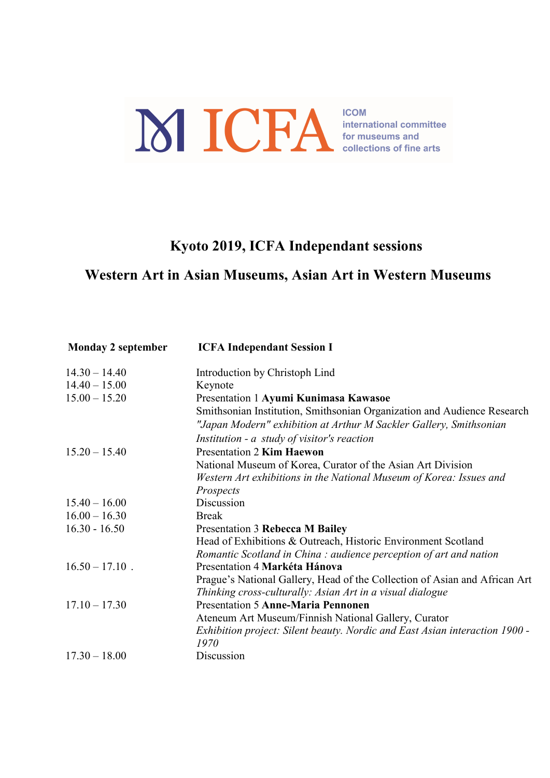## ICHA SCRIPTION SOFTING INCORPORATION OF THE CONNECTION OF THE ATTS OF THE ATTS

## Kyoto 2019, ICFA Independant sessions

## Western Art in Asian Museums, Asian Art in Western Museums

| <b>Monday 2 september</b> | <b>ICFA Independant Session I</b>                                           |
|---------------------------|-----------------------------------------------------------------------------|
| $14.30 - 14.40$           | Introduction by Christoph Lind                                              |
| $14.40 - 15.00$           | Keynote                                                                     |
| $15.00 - 15.20$           | Presentation 1 Ayumi Kunimasa Kawasoe                                       |
|                           | Smithsonian Institution, Smithsonian Organization and Audience Research     |
|                           | "Japan Modern" exhibition at Arthur M Sackler Gallery, Smithsonian          |
|                           | Institution - a study of visitor's reaction                                 |
| $15.20 - 15.40$           | <b>Presentation 2 Kim Haewon</b>                                            |
|                           | National Museum of Korea, Curator of the Asian Art Division                 |
|                           | Western Art exhibitions in the National Museum of Korea: Issues and         |
|                           | Prospects                                                                   |
| $15.40 - 16.00$           | Discussion                                                                  |
| $16.00 - 16.30$           | <b>Break</b>                                                                |
| $16.30 - 16.50$           | Presentation 3 Rebecca M Bailey                                             |
|                           | Head of Exhibitions & Outreach, Historic Environment Scotland               |
|                           | Romantic Scotland in China: audience perception of art and nation           |
| $16.50 - 17.10$ .         | Presentation 4 Markéta Hánova                                               |
|                           | Prague's National Gallery, Head of the Collection of Asian and African Art  |
|                           | Thinking cross-culturally: Asian Art in a visual dialogue                   |
| $17.10 - 17.30$           | <b>Presentation 5 Anne-Maria Pennonen</b>                                   |
|                           | Ateneum Art Museum/Finnish National Gallery, Curator                        |
|                           | Exhibition project: Silent beauty. Nordic and East Asian interaction 1900 - |
|                           | 1970                                                                        |
| $17.30 - 18.00$           | Discussion                                                                  |